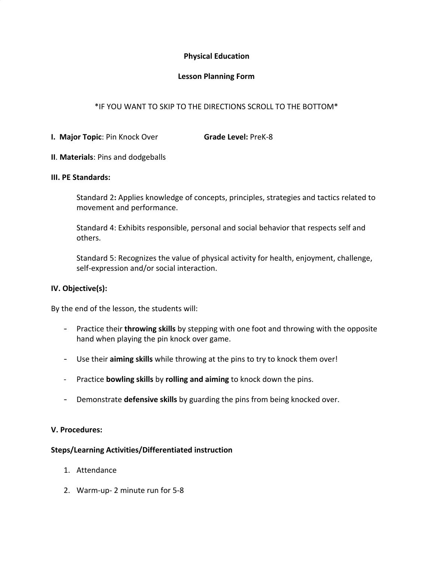## **Physical Education**

## **Lesson Planning Form**

# \*IF YOU WANT TO SKIP TO THE DIRECTIONS SCROLL TO THE BOTTOM\*

- **I. Major Topic**: Pin Knock Over **Grade Level:** PreK-8
- **II**. **Materials**: Pins and dodgeballs

### **III. PE Standards:**

Standard 2**:** Applies knowledge of concepts, principles, strategies and tactics related to movement and performance.

Standard 4: Exhibits responsible, personal and social behavior that respects self and others.

Standard 5: Recognizes the value of physical activity for health, enjoyment, challenge, self-expression and/or social interaction.

## **IV. Objective(s):**

By the end of the lesson, the students will:

- Practice their **throwing skills** by stepping with one foot and throwing with the opposite hand when playing the pin knock over game.
- Use their **aiming skills** while throwing at the pins to try to knock them over!
- Practice **bowling skills** by **rolling and aiming** to knock down the pins.
- Demonstrate **defensive skills** by guarding the pins from being knocked over.

### **V. Procedures:**

### **Steps/Learning Activities/Differentiated instruction**

- 1. Attendance
- 2. Warm-up- 2 minute run for 5-8